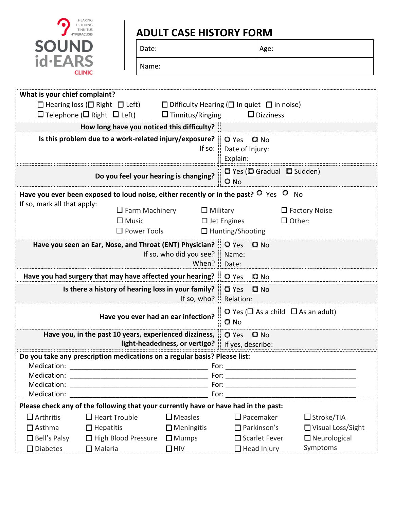

## **ADULT CASE HISTORY FORM**

| Date: |
|-------|
|       |

Age:

| Name |  |  |
|------|--|--|
|      |  |  |

| What is your chief complaint?                          |                                                                                                             |                               |                                                              |                      |  |  |
|--------------------------------------------------------|-------------------------------------------------------------------------------------------------------------|-------------------------------|--------------------------------------------------------------|----------------------|--|--|
|                                                        | $\Box$ Hearing loss ( $\Box$ Right $\Box$ Left)                                                             |                               | $\Box$ Difficulty Hearing ( $\Box$ In quiet $\Box$ in noise) |                      |  |  |
|                                                        | $\Box$ Telephone ( $\Box$ Right $\Box$ Left)                                                                | $\Box$ Tinnitus/Ringing       | $\square$ Dizziness                                          |                      |  |  |
| How long have you noticed this difficulty?             |                                                                                                             |                               |                                                              |                      |  |  |
| Is this problem due to a work-related injury/exposure? |                                                                                                             |                               | <b>Q</b> Yes<br>$Q$ No                                       |                      |  |  |
| If so:                                                 |                                                                                                             |                               | Date of Injury:                                              |                      |  |  |
|                                                        |                                                                                                             |                               | Explain:                                                     |                      |  |  |
| Do you feel your hearing is changing?                  |                                                                                                             |                               | <b>Q</b> Yes ( <b>Q</b> Gradual <b>Q</b> Sudden)<br>$Q$ No   |                      |  |  |
|                                                        | Have you ever been exposed to loud noise, either recently or in the past? $\overline{O}$ Yes $\overline{O}$ |                               |                                                              | <b>No</b>            |  |  |
| If so, mark all that apply:                            |                                                                                                             |                               |                                                              |                      |  |  |
|                                                        | $\Box$ Farm Machinery                                                                                       | $\Box$ Military               |                                                              | $\Box$ Factory Noise |  |  |
| $\Box$ Music<br>$\Box$ Other:<br>$\Box$ Jet Engines    |                                                                                                             |                               |                                                              |                      |  |  |
|                                                        | $\Box$ Power Tools                                                                                          |                               | □ Hunting/Shooting                                           |                      |  |  |
|                                                        | Have you seen an Ear, Nose, and Throat (ENT) Physician?                                                     |                               | <b>Q</b> Yes<br>$Q$ No                                       |                      |  |  |
|                                                        |                                                                                                             | If so, who did you see?       | Name:                                                        |                      |  |  |
|                                                        |                                                                                                             | When?                         | Date:                                                        |                      |  |  |
|                                                        | Have you had surgery that may have affected your hearing?                                                   |                               | <b>Q</b> Yes<br>O No                                         |                      |  |  |
|                                                        | Is there a history of hearing loss in your family?                                                          |                               | <b>Q</b> Yes<br>$Q$ No                                       |                      |  |  |
|                                                        |                                                                                                             | If so, who?                   | Relation:                                                    |                      |  |  |
|                                                        | Have you ever had an ear infection?                                                                         |                               | $\Omega$ Yes ( $\Box$ As a child $\Box$ As an adult)         |                      |  |  |
|                                                        |                                                                                                             |                               | $Q$ No                                                       |                      |  |  |
|                                                        | Have you, in the past 10 years, experienced dizziness,                                                      |                               | $\Omega$ No<br>$Q$ Yes                                       |                      |  |  |
|                                                        |                                                                                                             | light-headedness, or vertigo? | If yes, describe:                                            |                      |  |  |
|                                                        | Do you take any prescription medications on a regular basis? Please list:                                   |                               |                                                              |                      |  |  |
| Medication:                                            | For:                                                                                                        |                               |                                                              |                      |  |  |
| Medication:                                            |                                                                                                             |                               |                                                              |                      |  |  |
|                                                        | Medication:<br><u> 1989 - Jan James James Barnett, fransk politik (d. 1989)</u>                             |                               |                                                              |                      |  |  |
| Medication:                                            |                                                                                                             |                               |                                                              |                      |  |  |
|                                                        | Please check any of the following that your currently have or have had in the past:                         |                               |                                                              |                      |  |  |
| $\Box$ Arthritis                                       | $\Box$ Heart Trouble                                                                                        | $\Box$ Measles                | $\Box$ Pacemaker                                             | $\Box$ Stroke/TIA    |  |  |
| $\Box$ Asthma                                          | $\Box$ Hepatitis                                                                                            | $\Box$ Meningitis             | $\Box$ Parkinson's                                           | □ Visual Loss/Sight  |  |  |
| $\Box$ Bell's Palsy                                    | □ High Blood Pressure □ Mumps                                                                               |                               | $\Box$ Scarlet Fever                                         | $\Box$ Neurological  |  |  |
| $\Box$ Diabetes                                        | $\Box$ Malaria                                                                                              | $\Box$ HIV                    | $\Box$ Head Injury                                           | Symptoms             |  |  |